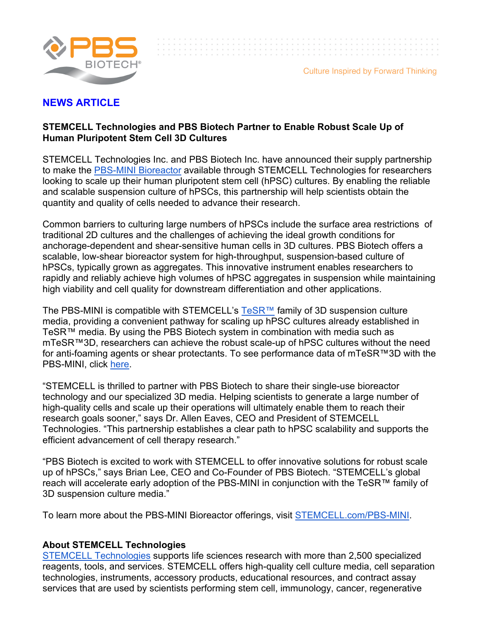

## **NEWS ARTICLE**

## **STEMCELL Technologies and PBS Biotech Partner to Enable Robust Scale Up of Human Pluripotent Stem Cell 3D Cultures**

STEMCELL Technologies Inc. and PBS Biotech Inc. have announced their supply partnership to make the PBS-MINI Bioreactor available through STEMCELL Technologies for researchers looking to scale up their human pluripotent stem cell (hPSC) cultures. By enabling the reliable and scalable suspension culture of hPSCs, this partnership will help scientists obtain the quantity and quality of cells needed to advance their research.

Common barriers to culturing large numbers of hPSCs include the surface area restrictions of traditional 2D cultures and the challenges of achieving the ideal growth conditions for anchorage-dependent and shear-sensitive human cells in 3D cultures. PBS Biotech offers a scalable, low-shear bioreactor system for high-throughput, suspension-based culture of hPSCs, typically grown as aggregates. This innovative instrument enables researchers to rapidly and reliably achieve high volumes of hPSC aggregates in suspension while maintaining high viability and cell quality for downstream differentiation and other applications.

The PBS-MINI is compatible with STEMCELL's TeSR™ family of 3D suspension culture media, providing a convenient pathway for scaling up hPSC cultures already established in TeSR™ media. By using the PBS Biotech system in combination with media such as mTeSR™3D, researchers can achieve the robust scale-up of hPSC cultures without the need for anti-foaming agents or shear protectants. To see performance data of mTeSR™3D with the PBS-MINI, click here.

"STEMCELL is thrilled to partner with PBS Biotech to share their single-use bioreactor technology and our specialized 3D media. Helping scientists to generate a large number of high-quality cells and scale up their operations will ultimately enable them to reach their research goals sooner," says Dr. Allen Eaves, CEO and President of STEMCELL Technologies. "This partnership establishes a clear path to hPSC scalability and supports the efficient advancement of cell therapy research."

"PBS Biotech is excited to work with STEMCELL to offer innovative solutions for robust scale up of hPSCs," says Brian Lee, CEO and Co-Founder of PBS Biotech. "STEMCELL's global reach will accelerate early adoption of the PBS-MINI in conjunction with the TeSR™ family of 3D suspension culture media."

To learn more about the PBS-MINI Bioreactor offerings, visit STEMCELL.com/PBS-MINI.

## **About STEMCELL Technologies**

STEMCELL Technologies supports life sciences research with more than 2,500 specialized reagents, tools, and services. STEMCELL offers high-quality cell culture media, cell separation technologies, instruments, accessory products, educational resources, and contract assay services that are used by scientists performing stem cell, immunology, cancer, regenerative